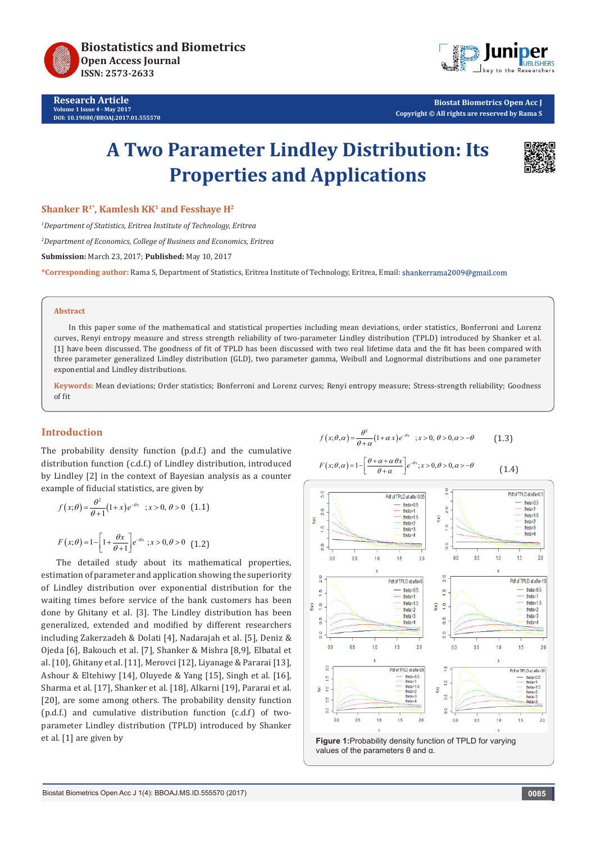

**Research Article Volume 1 Issue 4 - May 2017 DOI: [10.19080/BBOAJ.2017.01.555570](http://dx.doi.org/10.19080/BBOAJ.2017.01.555570)**



**Biostat Biometrics Open Acc J Copyright © All rights are reserved by Rama S**

# **A Two Parameter Lindley Distribution: Its Properties and Applications**



**Shanker R<sup>1\*</sup>, Kamlesh KK<sup>1</sup> and Fesshaye H<sup>2</sup>** 

*1 Department of Statistics, Eritrea Institute of Technology, Eritrea*

*2 Department of Economics, College of Business and Economics, Eritrea*

**Submission:** March 23, 2017; **Published:** May 10, 2017

**\*Corresponding author:** Rama S, Department of Statistics, Eritrea Institute of Technology, Eritrea, Email:

#### **Abstract**

In this paper some of the mathematical and statistical properties including mean deviations, order statistics, Bonferroni and Lorenz curves, Renyi entropy measure and stress strength reliability of two-parameter Lindley distribution (TPLD) introduced by Shanker et al. [1] have been discussed. The goodness of fit of TPLD has been discussed with two real lifetime data and the fit has been compared with three parameter generalized Lindley distribution (GLD), two parameter gamma, Weibull and Lognormal distributions and one parameter exponential and Lindley distributions.

**Keywords:** Mean deviations; Order statistics; Bonferroni and Lorenz curves; Renyi entropy measure; Stress-strength reliability; Goodness of fit

# **Introduction**

The probability density function (p.d.f.) and the cumulative distribution function (c.d.f.) of Lindley distribution, introduced by Lindley [2] in the context of Bayesian analysis as a counter example of fiducial statistics, are given by

$$
f(x; \theta) = \frac{\theta^2}{\theta + 1} (1 + x) e^{-\theta x} \quad ; x > 0, \theta > 0 \quad (1.1)
$$
  

$$
F(x; \theta) = 1 - \left[ 1 + \frac{\theta x}{\theta + 1} \right] e^{-\theta x} \quad ; x > 0, \theta > 0 \quad (1.2)
$$

The detailed study about its mathematical properties, estimation of parameter and application showing the superiority of Lindley distribution over exponential distribution for the waiting times before service of the bank customers has been done by Ghitany et al. [3]. The Lindley distribution has been generalized, extended and modified by different researchers including Zakerzadeh & Dolati [4], Nadarajah et al. [5], Deniz & Ojeda [6], Bakouch et al. [7], Shanker & Mishra [8,9], Elbatal et al. [10], Ghitany et al. [11], Merovci [12], Liyanage & Pararai [13], Ashour & Eltehiwy [14], Oluyede & Yang [15], Singh et al. [16], Sharma et al. [17], Shanker et al. [18], Alkarni [19], Pararai et al. [20], are some among others. The probability density function (p.d.f.) and cumulative distribution function (c.d.f) of twoparameter Lindley distribution (TPLD) introduced by Shanker et al. [1] are given by

$$
f(x; \theta, \alpha) = \frac{\theta^2}{\theta + \alpha} (1 + \alpha x) e^{-\theta x} \quad ; x > 0, \theta > 0, \alpha > -\theta \quad [1.3]
$$

$$
F(x; \theta, \alpha) = 1 - \left[ \frac{\theta + \alpha + \alpha \theta x}{\theta + \alpha} \right] e^{-\theta x}; x > 0, \theta > 0, \alpha > -\theta
$$
 (1.4)



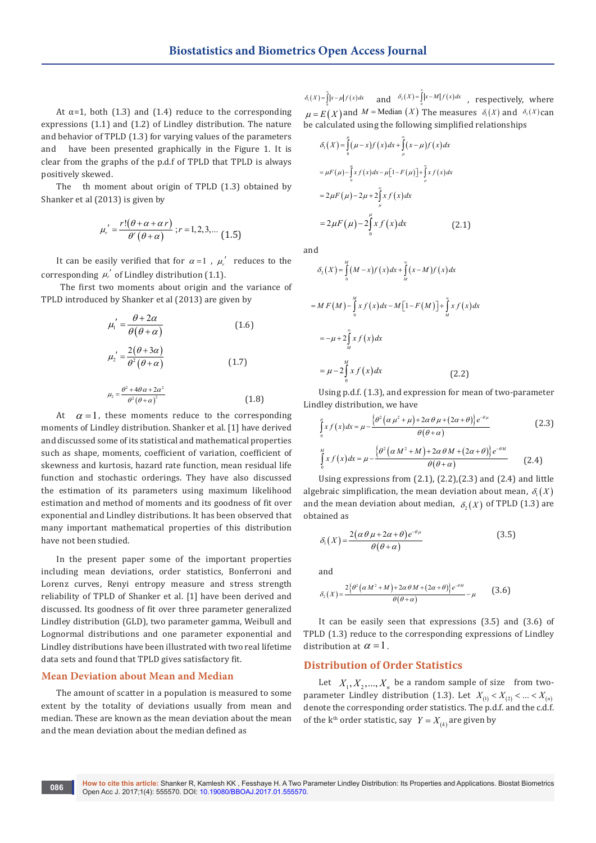At  $\alpha$ =1, both (1.3) and (1.4) reduce to the corresponding expressions (1.1) and (1.2) of Lindley distribution. The nature and behavior of TPLD (1.3) for varying values of the parameters and have been presented graphically in the Figure 1. It is clear from the graphs of the p.d.f of TPLD that TPLD is always positively skewed.

The th moment about origin of TPLD (1.3) obtained by Shanker et al (2013) is given by

$$
\mu_r' = \frac{r! (\theta + \alpha + \alpha r)}{\theta' (\theta + \alpha)} ; r = 1, 2, 3, \dots (1.5)
$$

It can be easily verified that for  $\alpha = 1$ ,  $\mu'_r$  reduces to the corresponding  $\mu'_{r}$  of Lindley distribution (1.1).

 The first two moments about origin and the variance of TPLD introduced by Shanker et al (2013) are given by

$$
\mu_1' = \frac{\theta + 2\alpha}{\theta(\theta + \alpha)}
$$
(1.6)  

$$
\mu_2' = \frac{2(\theta + 3\alpha)}{\theta^2(\theta + \alpha)}
$$
(1.7)

$$
\mu_2 = \frac{\theta^2 + 4\theta \alpha + 2\alpha^2}{\theta^2 (\theta + \alpha)^2}
$$
 (1.8)

At  $\alpha = 1$ , these moments reduce to the corresponding moments of Lindley distribution. Shanker et al. [1] have derived and discussed some of its statistical and mathematical properties such as shape, moments, coefficient of variation, coefficient of skewness and kurtosis, hazard rate function, mean residual life function and stochastic orderings. They have also discussed the estimation of its parameters using maximum likelihood estimation and method of moments and its goodness of fit over exponential and Lindley distributions. It has been observed that many important mathematical properties of this distribution have not been studied.

In the present paper some of the important properties including mean deviations, order statistics, Bonferroni and Lorenz curves, Renyi entropy measure and stress strength reliability of TPLD of Shanker et al. [1] have been derived and discussed. Its goodness of fit over three parameter generalized Lindley distribution (GLD), two parameter gamma, Weibull and Lognormal distributions and one parameter exponential and Lindley distributions have been illustrated with two real lifetime data sets and found that TPLD gives satisfactory fit.

## **Mean Deviation about Mean and Median**

The amount of scatter in a population is measured to some extent by the totality of deviations usually from mean and median. These are known as the mean deviation about the mean and the mean deviation about the median defined as

 $\delta_i(X) = \int_0^{\infty} |x-\mu| f(x) dx$  and  $\delta_2(X) = \int_0^{\infty} |x-M| f(x) dx$ , respectively, where  $\mu = E(X)$  and  $M = \text{Median}(X)$  The measures  $\delta_1(X)$  and  $\delta_2(X)$  can be calculated using the following simplified relationships

$$
\delta_1(X) = \int_0^{\mu} (\mu - x) f(x) dx + \int_{\mu}^{\infty} (x - \mu) f(x) dx
$$
  
\n
$$
= \mu F(\mu) - \int_0^{\mu} x f(x) dx - \mu [1 - F(\mu)] + \int_{\mu}^{\infty} x f(x) dx
$$
  
\n
$$
= 2 \mu F(\mu) - 2\mu + 2 \int_0^{\mu} x f(x) dx
$$
  
\n
$$
= 2 \mu F(\mu) - 2 \int_0^{\mu} x f(x) dx
$$
 (2.1)

and

$$
\delta_2(X) = \int_0^M (M - x) f(x) dx + \int_M^{\infty} (x - M) f(x) dx
$$
  
= M F(M) -  $\int_0^M x f(x) dx - M [1 - F(M)] + \int_M^{\infty} x f(x) dx$   
= -\mu + 2 \int\_M^{\infty} x f(x) dx  
= \mu - 2 \int\_0^M x f(x) dx \qquad (2.2)

∞

Using p.d.f. (1.3), and expression for mean of two-parameter Lindley distribution, we have

$$
\int_{0}^{u} x f(x) dx = \mu - \frac{\left\{\theta^{2} \left(\alpha \mu^{2} + \mu\right) + 2\alpha \theta \mu + \left(2\alpha + \theta\right)\right\} e^{-\theta \mu}}{\theta (\theta + \alpha)}
$$
(2.3)  

$$
\int_{0}^{M} x f(x) dx = \mu - \frac{\left\{\theta^{2} \left(\alpha M^{2} + M\right) + 2\alpha \theta M + \left(2\alpha + \theta\right)\right\} e^{-\theta M}}{\theta (\theta + \alpha)}
$$
(2.4)

Using expressions from (2.1), (2.2),(2.3) and (2.4) and little algebraic simplification, the mean deviation about mean,  $\delta_{\rm t}(X)$ and the mean deviation about median,  $\delta_1(X)$  of TPLD (1.3) are obtained as

$$
\delta_1(X) = \frac{2(\alpha \theta \mu + 2\alpha + \theta)e^{-\theta \mu}}{\theta(\theta + \alpha)}
$$
(3.5)

and

$$
\delta_2(X) = \frac{2\{\theta^2\left(\alpha M^2 + M\right) + 2\alpha \theta M + \left(2\alpha + \theta\right)\}e^{-\theta M}}{\theta(\theta + \alpha)} - \mu
$$
 (3.6)

It can be easily seen that expressions (3.5) and (3.6) of TPLD (1.3) reduce to the corresponding expressions of Lindley distribution at  $\alpha = 1$ .

## **Distribution of Order Statistics**

Let  $X_1, X_2, ..., X_n$  be a random sample of size from twoparameter Lindley distribution (1.3). Let  $X_{(1)} < X_{(2)} < ... < X_{(n)}$ denote the corresponding order statistics. The p.d.f. and the c.d.f. of the k<sup>th</sup> order statistic, say  $Y = X_{\mu}$  are given by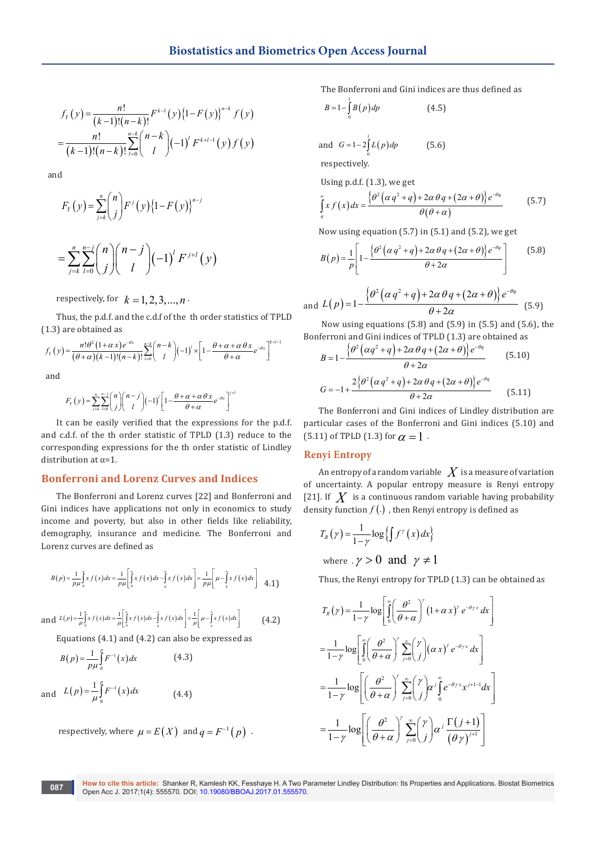$$
f_Y(y) = \frac{n!}{(k-1)!(n-k)!} F^{k-1}(y) \{1 - F(y)\}^{n-k} f(y)
$$
  
= 
$$
\frac{n!}{(k-1)!(n-k)!} \sum_{l=0}^{n-k} {n-k \choose l} (-1)^l F^{k+l-1}(y) f(y)
$$

and

$$
F_Y(y) = \sum_{j=k}^n {n \choose j} F^j(y) \{1 - F(y)\}^{n-j}
$$
  
= 
$$
\sum_{j=k}^n \sum_{l=0}^{n-j} {n \choose j} {n-j \choose l} (-1)^l F^{j+l}(y)
$$

respectively, for  $k = 1, 2, 3, \dots, n$ .

Thus, the p.d.f. and the c.d.f of the th order statistics of TPLD (1.3) are obtained as

$$
f_Y(y) = \frac{n! \theta^2 (1+\alpha x) e^{-\theta x}}{(\theta+\alpha)(k-1)!(n-k)!} \sum_{l=0}^{n-k} {n-k \choose l} (-1)^l \times \left[1 - \frac{\theta+\alpha+\alpha \theta x}{\theta+\alpha} e^{-\theta x}\right]^{k+l-1}
$$

and

$$
F_Y(y) = \sum_{j=k}^n \sum_{l=0}^{n-j} {n \choose j} {n-j \choose l} (-1)^l \left[1 - \frac{\theta + \alpha + \alpha \theta x}{\theta + \alpha} e^{-\theta x}\right]^{j+l}
$$

It can be easily verified that the expressions for the p.d.f. and c.d.f. of the th order statistic of TPLD (1.3) reduce to the corresponding expressions for the th order statistic of Lindley distribution at α=1.

# **Bonferroni and Lorenz Curves and Indices**

The Bonferroni and Lorenz curves [22] and Bonferroni and Gini indices have applications not only in economics to study income and poverty, but also in other fields like reliability, demography, insurance and medicine. The Bonferroni and Lorenz curves are defined as

$$
B(p) = \frac{1}{p\mu} \int_{0}^{q} x f(x) dx = \frac{1}{p\mu} \left[ \int_{0}^{\infty} x f(x) dx - \int_{q}^{\infty} x f(x) dx \right] = \frac{1}{p\mu} \left[ \mu - \int_{q}^{\infty} x f(x) dx \right] \quad 4.1
$$

and 
$$
L(p) = \frac{1}{\mu} \int_0^a x f(x) dx = \frac{1}{\mu} \left[ \int_0^a x f(x) dx - \int_a^a x f(x) dx \right] = \frac{1}{\mu} \left[ \mu - \int_a^a x f(x) dx \right]
$$
 (4.2)

Equations (4.1) and (4.2) can also be expressed as

$$
B(p) = \frac{1}{p\mu} \int_{0}^{p} F^{-1}(x) dx
$$
 (4.3)  
and  $L(p) = \frac{1}{\mu} \int_{0}^{p} F^{-1}(x) dx$  (4.4)

respectively, where  $\mu = E(X)$  and  $q = F^{-1}(p)$ .

The Bonferroni and Gini indices are thus defined as

$$
B = 1 - \int_{0}^{1} B(p) \, dp \tag{4.5}
$$

and 
$$
G=1-2\int_{0}^{1} L(p) dp
$$
 (5.6)

respectively.

Using p.d.f. 
$$
(1.3)
$$
, we get

$$
\int_{q}^{\infty} x f(x) dx = \frac{\{\theta^2 (\alpha q^2 + q) + 2\alpha \theta q + (2\alpha + \theta)\} e^{-\theta q}}{\theta (\theta + \alpha)}
$$
(5.7)

Now using equation (5.7) in (5.1) and (5.2), we get

$$
B(p) = \frac{1}{p} \left[ 1 - \frac{\left\{\theta^2 \left(\alpha q^2 + q\right) + 2\alpha \theta q + \left(2\alpha + \theta\right)\right\} e^{-\theta q}}{\theta + 2\alpha} \right] \tag{5.8}
$$

and 
$$
L(p)=1-\frac{\{\theta^2(\alpha q^2+q)+2\alpha \theta q+(2\alpha+\theta)\}e^{-\theta q}}{\theta+2\alpha}
$$
 (5.9)

 Now using equations (5.8) and (5.9) in (5.5) and (5.6), the Bonferroni and Gini indices of TPLD (1.3) are obtained as

$$
B = 1 - \frac{\left\{\theta^2 \left(\alpha q^2 + q\right) + 2\alpha \theta q + \left(2\alpha + \theta\right)\right\} e^{-\theta q}}{\theta + 2\alpha}
$$
\n
$$
G = -1 + \frac{2\left\{\theta^2 \left(\alpha q^2 + q\right) + 2\alpha \theta q + \left(2\alpha + \theta\right)\right\} e^{-\theta q}}{\theta + 2\alpha}
$$
\n(5.10)

The Bonferroni and Gini indices of Lindley distribution are particular cases of the Bonferroni and Gini indices (5.10) and (5.11) of TPLD (1.3) for  $\alpha = 1$ .

# **Renyi Entropy**

An entropy of a random variable  $\ X$  is a measure of variation of uncertainty. A popular entropy measure is Renyi entropy [21]. If  $\overline{X}$  is a continuous random variable having probability density function  $f(.)$ , then Renyi entropy is defined as

$$
T_R(\gamma) = \frac{1}{1-\gamma} \log \left\{ \int f^{\gamma}(x) dx \right\}
$$
  
where  $\gamma > 0$  and  $\gamma \neq 1$ 

Thus, the Renyi entropy for TPLD (1.3) can be obtained as

$$
T_R(\gamma) = \frac{1}{1-\gamma} \log \left[ \int_0^{\infty} \left( \frac{\theta^2}{\theta + \alpha} \right)^{\gamma} (1 + \alpha x)^{\gamma} e^{-\theta \gamma x} dx \right]
$$
  

$$
= \frac{1}{1-\gamma} \log \left[ \int_0^{\infty} \left( \frac{\theta^2}{\theta + \alpha} \right)^{\gamma} \sum_{j=0}^{\infty} \binom{\gamma}{j} (\alpha x)^{j} e^{-\theta \gamma x} dx \right]
$$
  

$$
= \frac{1}{1-\gamma} \log \left[ \left( \frac{\theta^2}{\theta + \alpha} \right)^{\gamma} \sum_{j=0}^{\infty} \binom{\gamma}{j} \alpha^{j} \int_0^{\infty} e^{-\theta \gamma x} x^{j+1-1} dx \right]
$$
  

$$
= \frac{1}{1-\gamma} \log \left[ \left( \frac{\theta^2}{\theta + \alpha} \right)^{\gamma} \sum_{j=0}^{\infty} \binom{\gamma}{j} \alpha^{j} \frac{\Gamma(j+1)}{(\theta \gamma)^{j+1}} \right]
$$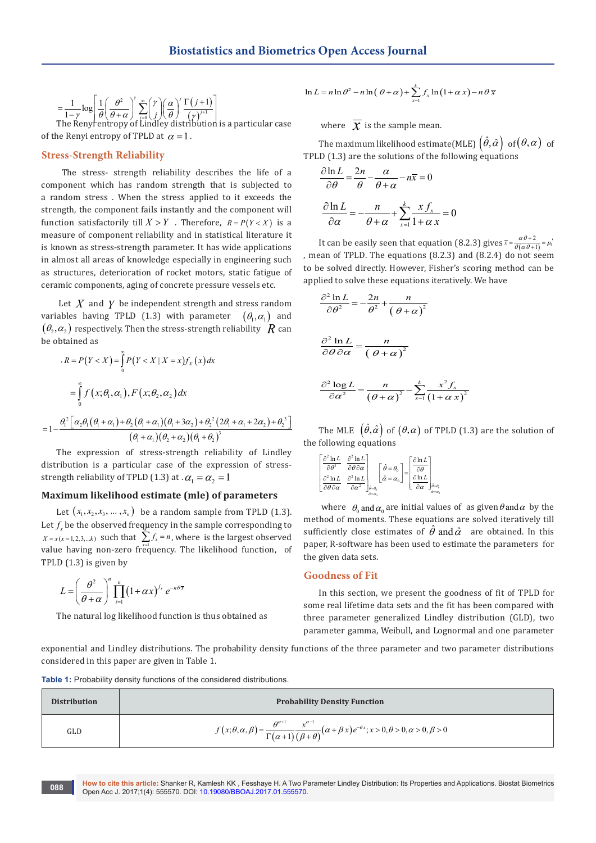$$
= \frac{1}{1-\gamma} \log \left[ \frac{1}{\theta} \left( \frac{\theta^2}{\theta + \alpha} \right)^r \sum_{j=0}^{\infty} \binom{r}{j} \left( \frac{\alpha}{\theta} \right)^j \frac{\Gamma(j+1)}{\left( \gamma \right)^{j+1}} \right]
$$
  
The Renytentropy of Lindley distribution is a particular case

of the Renyi entropy of TPLD at  $\alpha = 1$ .

## **Stress-Strength Reliability**

 The stress- strength reliability describes the life of a component which has random strength that is subjected to a random stress . When the stress applied to it exceeds the strength, the component fails instantly and the component will function satisfactorily till  $X > Y$ . Therefore,  $R = P(Y < X)$  is a measure of component reliability and in statistical literature it is known as stress-strength parameter. It has wide applications in almost all areas of knowledge especially in engineering such as structures, deterioration of rocket motors, static fatigue of ceramic components, aging of concrete pressure vessels etc.

 Let *X* and *Y* be independent strength and stress random variables having TPLD (1.3) with parameter  $(\theta_1, \alpha_1)$  and  $(\theta_2, \alpha_2)$  respectively. Then the stress-strength reliability *R* can be obtained as

$$
R = P(Y < X) = \int_{0}^{\infty} P(Y < X | X = x) f_X(x) dx
$$
  
= 
$$
\int_{0}^{\infty} f(x; \theta_1, \alpha_1), F(x; \theta_2, \alpha_2) dx
$$
  
= 
$$
1 - \frac{\theta_1^2 \left[ \alpha_2 \theta_1 (\theta_1 + \alpha_1) + \theta_2 (\theta_1 + \alpha_1) (\theta_1 + 3\alpha_2) + \theta_2^2 (2\theta_1 + \alpha_1 + 2\alpha_2) + \theta_2^3 \right]}{(\theta_1 + \alpha_1)(\theta_2 + \alpha_2)(\theta_1 + \theta_2)^3}
$$

The expression of stress-strength reliability of Lindley  
distribution is a particular case of the expression of stress-  
strength reliability of TPLD (1.3) at. 
$$
\alpha_1 = \alpha_2 = 1
$$

### **Maximum likelihood estimate (mle) of parameters**

Let  $(x_1, x_2, x_3, \ldots, x_n)$  be a random sample from TPLD (1.3). Let  $f_{\rm x}$  be the observed frequency in the sample corresponding to  $X = x(x = 1, 2, 3, \dots k)$  such that  $\sum_{x=1}^{n} f_x = n$ , where is the largest observed value having non-zero frequency. The likelihood function, of TPLD (1.3) is given by

$$
L = \left(\frac{\theta^2}{\theta + \alpha}\right)^n \prod_{i=1}^n \left(1 + \alpha x\right)^{f_x} e^{-n\theta \overline{x}}
$$

The natural log likelihood function is thus obtained as

$$
\ln L = n \ln \theta^2 - n \ln (\theta + \alpha) + \sum_{x=1}^{k} f_x \ln (1 + \alpha x) - n \theta \overline{x}
$$

where  $\bar{x}$  is the sample mean.

The maximum likelihood estimate(MLE)  $(\hat{\theta}, \hat{\alpha})$  of  $(\theta, \alpha)$  of TPLD (1.3) are the solutions of the following equations

$$
\frac{\partial \ln L}{\partial \theta} = \frac{2n}{\theta} - \frac{\alpha}{\theta + \alpha} - n\overline{x} = 0
$$

$$
\frac{\partial \ln L}{\partial \alpha} = -\frac{n}{\theta + \alpha} + \sum_{x=1}^{k} \frac{x f_x}{1 + \alpha x} = 0
$$

It can be easily seen that equation (8.2.3) gives  $\bar{x} = \frac{\alpha \theta + 2}{\theta(\alpha \theta + 1)} = \mu_1$ , mean of TPLD. The equations (8.2.3) and (8.2.4) do not seem to be solved directly. However, Fisher's scoring method can be applied to solve these equations iteratively. We have

$$
\frac{\partial^2 \ln L}{\partial \theta^2} = -\frac{2n}{\theta^2} + \frac{n}{(\theta + \alpha)^2}
$$

$$
\frac{\partial^2 \ln L}{\partial \theta \partial \alpha} = \frac{n}{(\theta + \alpha)^2}
$$

$$
\frac{\partial^2 \log L}{\partial \alpha^2} = \frac{n}{(\theta + \alpha)^2} - \sum_{x=1}^k \frac{x^2 f_x}{(1 + \alpha x)^2}
$$

The MLE  $(\hat{\theta}, \hat{\alpha})$  of  $(\theta, \alpha)$  of TPLD (1.3) are the solution of the following equations

$$
\begin{bmatrix}\n\frac{\partial^2 \ln L}{\partial \theta^2} & \frac{\partial^2 \ln L}{\partial \theta \partial \alpha} \\
\frac{\partial^2 \ln L}{\partial \theta \partial \alpha} & \frac{\partial^2 \ln L}{\partial \alpha^2}\n\end{bmatrix}_{\theta = \theta_0}\n\begin{bmatrix}\n\hat{\theta} = \theta_0 \\
\hat{\alpha} = \alpha_0\n\end{bmatrix}\n=\n\begin{bmatrix}\n\frac{\partial \ln L}{\partial \theta} \\
\frac{\partial \ln L}{\partial \alpha}\n\end{bmatrix}_{\theta = \theta_0}\n\begin{bmatrix}\n\frac{\partial \ln L}{\partial \alpha} \\
\frac{\partial \ln L}{\partial \alpha}\n\end{bmatrix}_{\theta = \theta_0}
$$

where  $\theta_0$  and  $\alpha_0$  are initial values of as given  $\theta$  and  $\alpha$  by the method of moments. These equations are solved iteratively till sufficiently close estimates of  $\hat{\theta}$  and  $\hat{\alpha}$  are obtained. In this paper, R-software has been used to estimate the parameters for the given data sets.

#### **Goodness of Fit**

In this section, we present the goodness of fit of TPLD for some real lifetime data sets and the fit has been compared with three parameter generalized Lindley distribution (GLD), two parameter gamma, Weibull, and Lognormal and one parameter

exponential and Lindley distributions. The probability density functions of the three parameter and two parameter distributions considered in this paper are given in Table 1.

**Table 1:** Probability density functions of the considered distributions.

| <b>Distribution</b> | <b>Probability Density Function</b>                                                                                                                                                     |
|---------------------|-----------------------------------------------------------------------------------------------------------------------------------------------------------------------------------------|
| GLD                 | $f(x; \theta, \alpha, \beta) = \frac{\theta^{\alpha+1}}{\Gamma(\alpha+1)} \frac{x^{\alpha-1}}{(\beta+\theta)} (\alpha+\beta x) e^{-\theta x}; x > 0, \theta > 0, \alpha > 0, \beta > 0$ |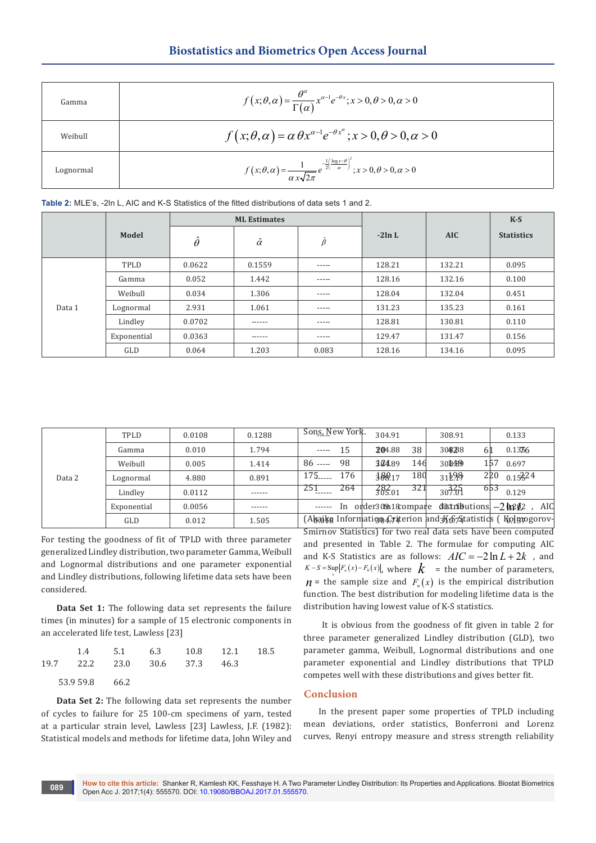| Gamma     | $f(x;\theta,\alpha) = \frac{\theta^{\alpha}}{\Gamma(\alpha)} x^{\alpha-1} e^{-\theta x}; x > 0, \theta > 0, \alpha > 0$                                 |
|-----------|---------------------------------------------------------------------------------------------------------------------------------------------------------|
| Weibull   | $f(x;\theta,\alpha) = \alpha \theta x^{\alpha-1} e^{-\theta x^{\alpha}}; x > 0, \theta > 0, \alpha > 0$                                                 |
| Lognormal | $f(x; \theta, \alpha) = \frac{1}{\alpha x \sqrt{2\pi}} e^{-\frac{1}{2} \left( \frac{\log x - \theta}{\alpha} \right)^2}; x > 0, \theta > 0, \alpha > 0$ |

|        |             | <b>ML Estimates</b> |                |               |           |            | $K-S$             |
|--------|-------------|---------------------|----------------|---------------|-----------|------------|-------------------|
|        | Model       | $\hat{\theta}$      | $\hat{\alpha}$ | $\hat{\beta}$ | $-2\ln L$ | <b>AIC</b> | <b>Statistics</b> |
| Data 1 | TPLD        | 0.0622              | 0.1559         | -----         | 128.21    | 132.21     | 0.095             |
|        | Gamma       | 0.052               | 1.442          | -----         | 128.16    | 132.16     | 0.100             |
|        | Weibull     | 0.034               | 1.306          | -----         | 128.04    | 132.04     | 0.451             |
|        | Lognormal   | 2.931               | 1.061          | -----         | 131.23    | 135.23     | 0.161             |
|        | Lindley     | 0.0702              | ------         | -----         | 128.81    | 130.81     | 0.110             |
|        | Exponential | 0.0363              | ------         | -----         | 129.47    | 131.47     | 0.156             |
|        | GLD         | 0.064               | 1.203          | 0.083         | 128.16    | 134.16     | 0.095             |

| Data 2 | <b>TPLD</b> | 0.0108 | 0.1288 | Sons, New York.   | 304.91                   | 308.91                                              | 0.133                                                           |
|--------|-------------|--------|--------|-------------------|--------------------------|-----------------------------------------------------|-----------------------------------------------------------------|
|        | Gamma       | 0.010  | 1.794  | 15<br>$- - - - -$ | 304.88<br>38             | 304888<br>61                                        | $0.13\%$                                                        |
|        | Weibull     | 0.005  | 1.414  | 98<br>$86$ -----  | 10489<br>146             | 308.89                                              | 157<br>0.697                                                    |
|        | Lognormal   | 4.880  | 0.891  | 175<br>176        | 180<br>189.17            | 31298                                               | 220<br>0.15324                                                  |
|        | Lindley     | 0.0112 | ------ | 264<br>251        | 321<br>282 <sub>01</sub> | $30^{325}$                                          | 653<br>0.129                                                    |
|        | Exponential | 0.0056 | ------ |                   |                          | ------ In order309018compare distributions, -2 0202 | AIC                                                             |
|        | GLD         | 0.012  | 1.505  |                   |                          |                                                     | (Abajke Information Criterion and3K657Statistics ( Kolupogorov- |

For testing the goodness of fit of TPLD with three parameter generalized Lindley distribution, two parameter Gamma, Weibull and Lognormal distributions and one parameter exponential and Lindley distributions, following lifetime data sets have been considered.

**Data Set 1:** The following data set represents the failure times (in minutes) for a sample of 15 electronic components in an accelerated life test, Lawless [23]

|               |                               | 1.4 5.1 6.3 10.8 12.1 18.5 |  |
|---------------|-------------------------------|----------------------------|--|
|               | 19.7 22.2 23.0 30.6 37.3 46.3 |                            |  |
| 53.959.8 66.2 |                               |                            |  |

**Data Set 2:** The following data set represents the number of cycles to failure for 25 100-cm specimens of yarn, tested at a particular strain level, Lawless [23] Lawless, J.F. (1982): Statistical models and methods for lifetime data, John Wiley and Smirnov Statistics) for two real data sets have been computed and presented in Table 2. The formulae for computing AIC and K-S Statistics are as follows:  $AIC = -2\ln L + 2k$ , and  $K-S = \sup_{x} |F_n(x) - F_0(x)|$ , where  $k =$  the number of parameters,  $n =$  the sample size and  $F_n(x)$  is the empirical distribution function. The best distribution for modeling lifetime data is the distribution having lowest value of K-S statistics.

 It is obvious from the goodness of fit given in table 2 for three parameter generalized Lindley distribution (GLD), two parameter gamma, Weibull, Lognormal distributions and one parameter exponential and Lindley distributions that TPLD competes well with these distributions and gives better fit.

## **Conclusion**

In the present paper some properties of TPLD including mean deviations, order statistics, Bonferroni and Lorenz curves, Renyi entropy measure and stress strength reliability